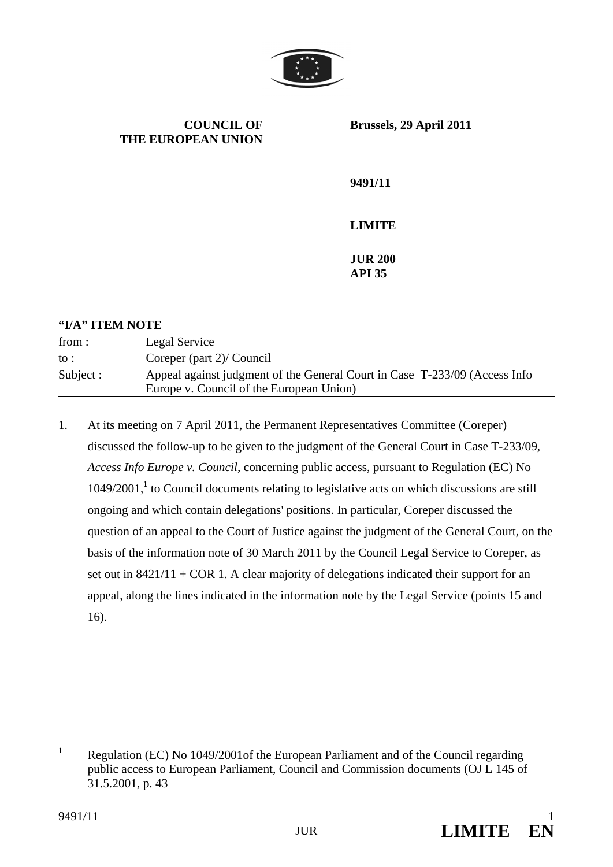

**COUNCIL OF THE EUROPEAN UNION** **Brussels, 29 April 2011** 

**9491/11** 

**LIMITE** 

**JUR 200 API 35** 

## **"I/A" ITEM NOTE**  from : to : Legal Service Coreper (part 2)/ Council Subject : Appeal against judgment of the General Court in Case T-233/09 (Access Info Europe v. Council of the European Union)

1. At its meeting on 7 April 2011, the Permanent Representatives Committee (Coreper) discussed the follow-up to be given to the judgment of the General Court in Case T-233/09, *Access Info Europe v. Council*, concerning public access, pursuant to Regulation (EC) No 1049/2001,**<sup>1</sup>** to Council documents relating to legislative acts on which discussions are still ongoing and which contain delegations' positions. In particular, Coreper discussed the question of an appeal to the Court of Justice against the judgment of the General Court, on the basis of the information note of 30 March 2011 by the Council Legal Service to Coreper, as set out in  $8421/11 + COR$  1. A clear majority of delegations indicated their support for an appeal, along the lines indicated in the information note by the Legal Service (points 15 and 16).

 **1** Regulation (EC) No 1049/2001of the European Parliament and of the Council regarding public access to European Parliament, Council and Commission documents (OJ L 145 of 31.5.2001, p. 43